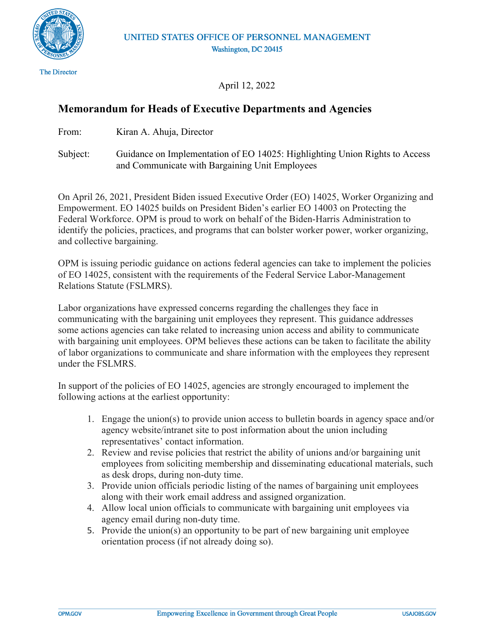

April 12, 2022

# **Memorandum for Heads of Executive Departments and Agencies**

From: Kiran A. Ahuja, Director

Subject: Guidance on Implementation of EO 14025: Highlighting Union Rights to Access and Communicate with Bargaining Unit Employees

On April 26, 2021, President Biden issued Executive Order (EO) 14025, Worker Organizing and Empowerment. EO 14025 builds on President Biden's earlier EO 14003 on Protecting the Federal Workforce. OPM is proud to work on behalf of the Biden-Harris Administration to identify the policies, practices, and programs that can bolster worker power, worker organizing, and collective bargaining.

OPM is issuing periodic guidance on actions federal agencies can take to implement the policies of EO 14025, consistent with the requirements of the Federal Service Labor-Management Relations Statute (FSLMRS).

Labor organizations have expressed concerns regarding the challenges they face in communicating with the bargaining unit employees they represent. This guidance addresses some actions agencies can take related to increasing union access and ability to communicate with bargaining unit employees. OPM believes these actions can be taken to facilitate the ability of labor organizations to communicate and share information with the employees they represent under the FSLMRS.

In support of the policies of EO 14025, agencies are strongly encouraged to implement the following actions at the earliest opportunity:

- 1. Engage the union(s) to provide union access to bulletin boards in agency space and/or agency website/intranet site to post information about the union including representatives' contact information.
- 2. Review and revise policies that restrict the ability of unions and/or bargaining unit employees from soliciting membership and disseminating educational materials, such as desk drops, during non-duty time.
- 3. Provide union officials periodic listing of the names of bargaining unit employees along with their work email address and assigned organization.
- 4. Allow local union officials to communicate with bargaining unit employees via agency email during non-duty time.
- 5. Provide the union(s) an opportunity to be part of new bargaining unit employee orientation process (if not already doing so).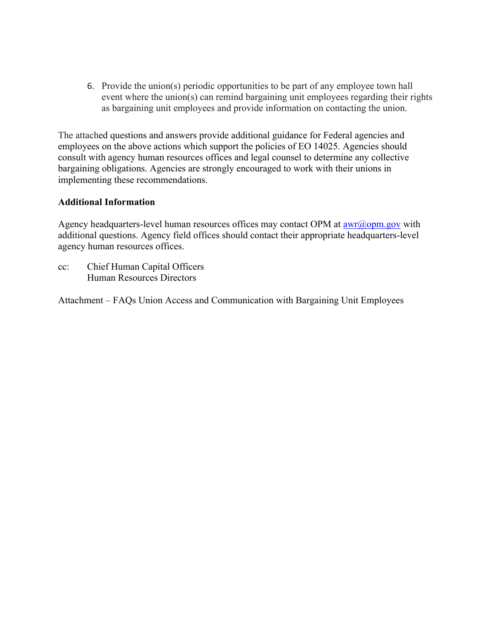6. Provide the union(s) periodic opportunities to be part of any employee town hall event where the union(s) can remind bargaining unit employees regarding their rights as bargaining unit employees and provide information on contacting the union.

The attached questions and answers provide additional guidance for Federal agencies and employees on the above actions which support the policies of EO 14025. Agencies should consult with agency human resources offices and legal counsel to determine any collective bargaining obligations. Agencies are strongly encouraged to work with their unions in implementing these recommendations.

## **Additional Information**

Agency headquarters-level human resources offices may contact OPM at  $\frac{awr(\partial_{\theta}^{\theta})}{a}$  with additional questions. Agency field offices should contact their appropriate headquarters-level agency human resources offices.

cc: Chief Human Capital Officers Human Resources Directors

Attachment – FAQs Union Access and Communication with Bargaining Unit Employees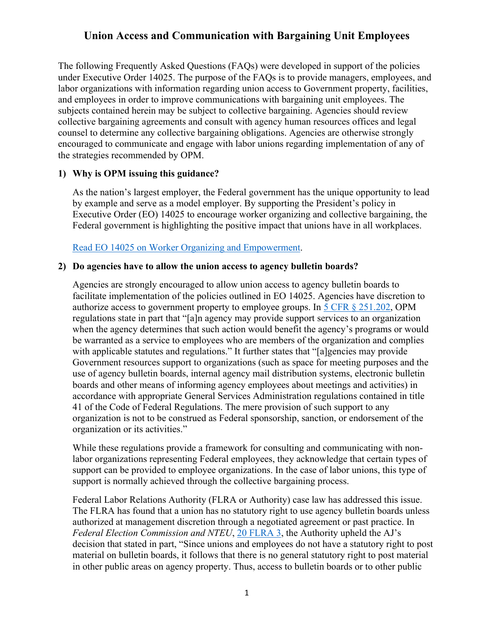The following Frequently Asked Questions (FAQs) were developed in support of the policies under Executive Order 14025. The purpose of the FAQs is to provide managers, employees, and labor organizations with information regarding union access to Government property, facilities, and employees in order to improve communications with bargaining unit employees. The subjects contained herein may be subject to collective bargaining. Agencies should review collective bargaining agreements and consult with agency human resources offices and legal counsel to determine any collective bargaining obligations. Agencies are otherwise strongly encouraged to communicate and engage with labor unions regarding implementation of any of the strategies recommended by OPM.

## **1) Why is OPM issuing this guidance?**

As the nation's largest employer, the Federal government has the unique opportunity to lead by example and serve as a model employer. By supporting the President's policy in Executive Order (EO) 14025 to encourage worker organizing and collective bargaining, the Federal government is highlighting the positive impact that unions have in all workplaces.

## [Read EO 14025 on Worker Organizing and Empowerment.](https://www.govinfo.gov/content/pkg/FR-2021-04-29/pdf/2021-09213.pdf)

#### **2) Do agencies have to allow the union access to agency bulletin boards?**

Agencies are strongly encouraged to allow union access to agency bulletin boards to facilitate implementation of the policies outlined in EO 14025. Agencies have discretion to authorize access to government property to employee groups. In [5 CFR § 251.202,](https://www.ecfr.gov/current/title-5/chapter-I/subchapter-B/part-251/subpart-B/section-251.202) OPM regulations state in part that "[a]n agency may provide support services to an organization when the agency determines that such action would benefit the agency's programs or would be warranted as a service to employees who are members of the organization and complies with applicable statutes and regulations." It further states that "[a]gencies may provide Government resources support to organizations (such as space for meeting purposes and the use of agency bulletin boards, internal agency mail distribution systems, electronic bulletin boards and other means of informing agency employees about meetings and activities) in accordance with appropriate General Services Administration regulations contained in title 41 of the Code of Federal Regulations. The mere provision of such support to any organization is not to be construed as Federal sponsorship, sanction, or endorsement of the organization or its activities."

While these regulations provide a framework for consulting and communicating with nonlabor organizations representing Federal employees, they acknowledge that certain types of support can be provided to employee organizations. In the case of labor unions, this type of support is normally achieved through the collective bargaining process.

Federal Labor Relations Authority (FLRA or Authority) case law has addressed this issue. The FLRA has found that a union has no statutory right to use agency bulletin boards unless authorized at management discretion through a negotiated agreement or past practice. In *Federal Election Commission and NTEU*, [20 FLRA 3,](https://www.flra.gov/decisions/v20/20-003.html) the Authority upheld the AJ's decision that stated in part, "Since unions and employees do not have a statutory right to post material on bulletin boards, it follows that there is no general statutory right to post material in other public areas on agency property. Thus, access to bulletin boards or to other public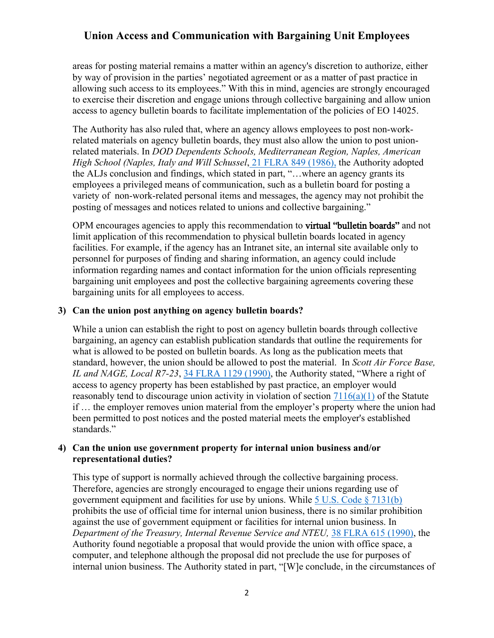areas for posting material remains a matter within an agency's discretion to authorize, either by way of provision in the parties' negotiated agreement or as a matter of past practice in allowing such access to its employees." With this in mind, agencies are strongly encouraged to exercise their discretion and engage unions through collective bargaining and allow union access to agency bulletin boards to facilitate implementation of the policies of EO 14025.

The Authority has also ruled that, where an agency allows employees to post non-workrelated materials on agency bulletin boards, they must also allow the union to post unionrelated materials. In *DOD Dependents Schools, Mediterranean Region, Naples, American High School (Naples, Italy and Will Schussel*[, 21 FLRA 849 \(1986\),](https://www.flra.gov/decisions/v21/21-103.html) the Authority adopted the ALJs conclusion and findings, which stated in part, "…where an agency grants its employees a privileged means of communication, such as a bulletin board for posting a variety of non-work-related personal items and messages, the agency may not prohibit the posting of messages and notices related to unions and collective bargaining."

OPM encourages agencies to apply this recommendation to **virtual "bulletin boards"** and not limit application of this recommendation to physical bulletin boards located in agency facilities. For example, if the agency has an Intranet site, an internal site available only to personnel for purposes of finding and sharing information, an agency could include information regarding names and contact information for the union officials representing bargaining unit employees and post the collective bargaining agreements covering these bargaining units for all employees to access.

#### **3) Can the union post anything on agency bulletin boards?**

While a union can establish the right to post on agency bulletin boards through collective bargaining, an agency can establish publication standards that outline the requirements for what is allowed to be posted on bulletin boards. As long as the publication meets that standard, however, the union should be allowed to post the material. In *Scott Air Force Base, IL and NAGE, Local R7-23*, [34 FLRA 1129 \(1990\),](https://www.flra.gov/decisions/v34/34-172.html) the Authority stated, "Where a right of access to agency property has been established by past practice, an employer would reasonably tend to discourage union activity in violation of section  $7116(a)(1)$  of the Statute if … the employer removes union material from the employer's property where the union had been permitted to post notices and the posted material meets the employer's established standards."

### **4) Can the union use government property for internal union business and/or representational duties?**

This type of support is normally achieved through the collective bargaining process. Therefore, agencies are strongly encouraged to engage their unions regarding use of government equipment and facilities for use by unions. While  $5 \text{ U.S. Code } \S$  7131(b) prohibits the use of official time for internal union business, there is no similar prohibition against the use of government equipment or facilities for internal union business. In *Department of the Treasury, Internal Revenue Service and NTEU,* [38 FLRA 615 \(1990\),](https://www.flra.gov/decisions/v38/38-057.html) the Authority found negotiable a proposal that would provide the union with office space, a computer, and telephone although the proposal did not preclude the use for purposes of internal union business. The Authority stated in part, "[W]e conclude, in the circumstances of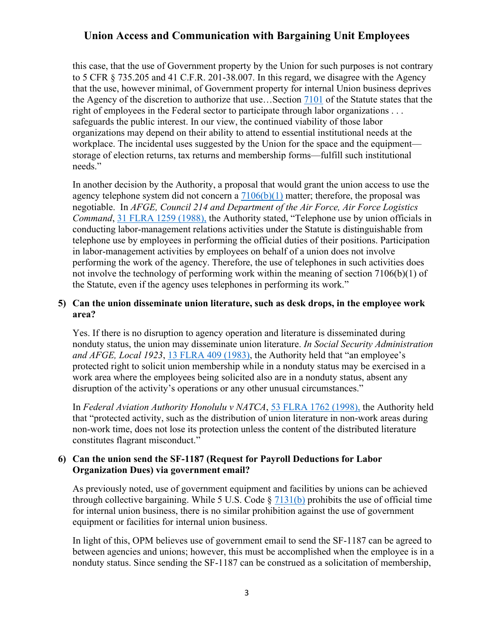this case, that the use of Government property by the Union for such purposes is not contrary to 5 CFR § 735.205 and 41 C.F.R. 201-38.007. In this regard, we disagree with the Agency that the use, however minimal, of Government property for internal Union business deprives the Agency of the discretion to authorize that use…Section [7101](https://www.flra.gov/resources-training/resources/statute-and-regulations/statute/statute-subchapter-i-general-0) of the Statute states that the right of employees in the Federal sector to participate through labor organizations . . . safeguards the public interest. In our view, the continued viability of those labor organizations may depend on their ability to attend to essential institutional needs at the workplace. The incidental uses suggested by the Union for the space and the equipment storage of election returns, tax returns and membership forms—fulfill such institutional needs."

In another decision by the Authority, a proposal that would grant the union access to use the agency telephone system did not concern a  $7106(b)(1)$  matter; therefore, the proposal was negotiable. In *AFGE, Council 214 and Department of the Air Force, Air Force Logistics Command*, [31 FLRA 1259 \(1988\),](https://www.flra.gov/decisions/v31/31-113.html) the Authority stated, "Telephone use by union officials in conducting labor-management relations activities under the Statute is distinguishable from telephone use by employees in performing the official duties of their positions. Participation in labor-management activities by employees on behalf of a union does not involve performing the work of the agency. Therefore, the use of telephones in such activities does not involve the technology of performing work within the meaning of section 7106(b)(1) of the Statute, even if the agency uses telephones in performing its work."

# **5) Can the union disseminate union literature, such as desk drops, in the employee work area?**

Yes. If there is no disruption to agency operation and literature is disseminated during nonduty status, the union may disseminate union literature. *In Social Security Administration and AFGE, Local 1923*, [13 FLRA 409 \(1983\),](https://www.flra.gov/decisions/v13/13-069.html) the Authority held that "an employee's protected right to solicit union membership while in a nonduty status may be exercised in a work area where the employees being solicited also are in a nonduty status, absent any disruption of the activity's operations or any other unusual circumstances."

In *Federal Aviation Authority Honolulu v NATCA*, [53 FLRA 1762 \(1998\),](https://www.flra.gov/decisions/v53/53-159.html) the Authority held that "protected activity, such as the distribution of union literature in non-work areas during non-work time, does not lose its protection unless the content of the distributed literature constitutes flagrant misconduct."

## **6) Can the union send the SF-1187 (Request for Payroll Deductions for Labor Organization Dues) via government email?**

As previously noted, use of government equipment and facilities by unions can be achieved through collective bargaining. While 5 U.S. Code  $\S$  [7131\(b\)](https://www.flra.gov/resources-training/resources/statute-and-regulations/statute/statute-subchapter-iv-administrative-0) prohibits the use of official time for internal union business, there is no similar prohibition against the use of government equipment or facilities for internal union business.

In light of this, OPM believes use of government email to send the SF-1187 can be agreed to between agencies and unions; however, this must be accomplished when the employee is in a nonduty status. Since sending the SF-1187 can be construed as a solicitation of membership,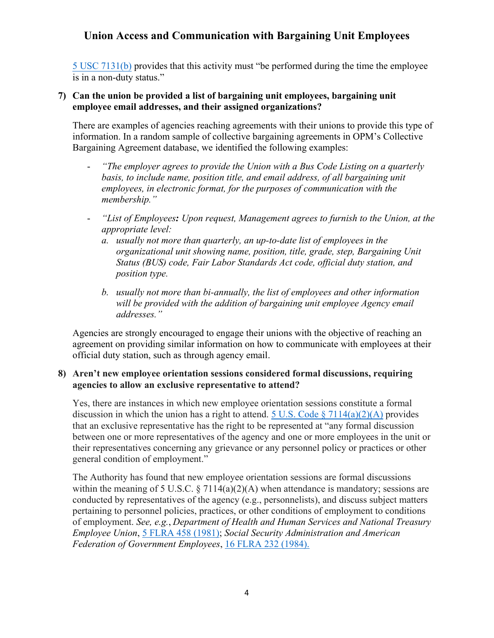[5 USC 7131\(b\)](https://www.flra.gov/resources-training/resources/statute-and-regulations/statute/statute-subchapter-iv-administrative-0) provides that this activity must "be performed during the time the employee is in a non-duty status."

### **7) Can the union be provided a list of bargaining unit employees, bargaining unit employee email addresses, and their assigned organizations?**

There are examples of agencies reaching agreements with their unions to provide this type of information. In a random sample of collective bargaining agreements in OPM's Collective Bargaining Agreement database, we identified the following examples:

- *"The employer agrees to provide the Union with a Bus Code Listing on a quarterly basis, to include name, position title, and email address, of all bargaining unit employees, in electronic format, for the purposes of communication with the membership."*
- *"List of Employees: Upon request, Management agrees to furnish to the Union, at the appropriate level:*
	- *a. usually not more than quarterly, an up-to-date list of employees in the organizational unit showing name, position, title, grade, step, Bargaining Unit Status (BUS) code, Fair Labor Standards Act code, official duty station, and position type.*
	- *b. usually not more than bi-annually, the list of employees and other information will be provided with the addition of bargaining unit employee Agency email addresses."*

Agencies are strongly encouraged to engage their unions with the objective of reaching an agreement on providing similar information on how to communicate with employees at their official duty station, such as through agency email.

## **8) Aren't new employee orientation sessions considered formal discussions, requiring agencies to allow an exclusive representative to attend?**

Yes, there are instances in which new employee orientation sessions constitute a formal discussion in which the union has a right to attend. 5 U.S. Code  $\S 7114(a)(2)(A)$  provides that an exclusive representative has the right to be represented at "any formal discussion between one or more representatives of the agency and one or more employees in the unit or their representatives concerning any grievance or any personnel policy or practices or other general condition of employment."

The Authority has found that new employee orientation sessions are formal discussions within the meaning of 5 U.S.C.  $\S 7114(a)(2)(A)$  when attendance is mandatory; sessions are conducted by representatives of the agency (e.g., personnelists), and discuss subject matters pertaining to personnel policies, practices, or other conditions of employment to conditions of employment. *See, e.g.*, *Department of Health and Human Services and National Treasury Employee Union*, [5 FLRA 458 \(1981\);](https://www.flra.gov/decisions/v05/05-058.html) *Social Security Administration and American Federation of Government Employees*, [16 FLRA 232 \(1984\).](https://www.flra.gov/decisions/v16/16-033.html)